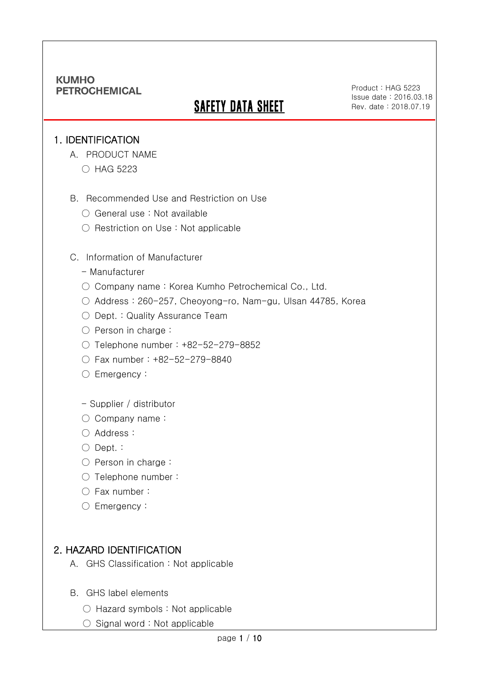# **SAFETY DATA SHEET**

Product : HAG 5223 Issue date : 2016.03.18 Rev. date : 2018.07.19

#### 1. IDENTIFICATION

Ξ

- A. PRODUCT NAME
	- HAG 5223
- B. Recommended Use and Restriction on Use
	- General use : Not available
	- Restriction on Use : Not applicable

#### C. Information of Manufacturer

- Manufacturer
- Company name: Korea Kumho Petrochemical Co., Ltd.
- Address : 260-257, Cheoyong-ro, Nam-gu, Ulsan 44785, Korea
- Dept. : Quality Assurance Team
- Person in charge :
- Telephone number : +82-52-279-8852
- Fax number : +82-52-279-8840
- Emergency:
- Supplier / distributor
- Company name:
- Address :
- Dept. :
- Person in charge:
- Telephone number :
- Fax number :
- Emergency:

### 2. HAZARD IDENTIFICATION

- A. GHS Classification : Not applicable
- B. GHS label elements
	- Hazard symbols : Not applicable
	- Signal word : Not applicable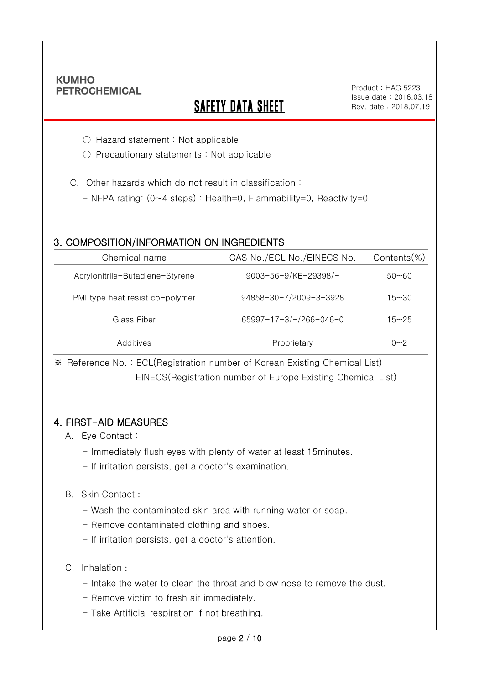Ξ

# **SAFETY DATA SHEET**

Product : HAG 5223 Issue date : 2016.03.18 Rev. date : 2018.07.19

○ Hazard statement : Not applicable

○ Precautionary statements : Not applicable

C. Other hazards which do not result in classification :

- NFPA rating: (0~4 steps) : Health=0, Flammability=0, Reactivity=0

### 3. COMPOSITION/INFORMATION ON INGREDIENTS

| Chemical name                   | CAS No./ECL No./EINECS No. | $Contents$ %) |
|---------------------------------|----------------------------|---------------|
| Acrylonitrile-Butadiene-Styrene | 9003-56-9/KE-29398/-       | $50 - 60$     |
| PMI type heat resist co-polymer | 94858-30-7/2009-3-3928     | $15 - 30$     |
| Glass Fiber                     | 65997-17-3/-/266-046-0     | $15 - 25$     |
| Additives                       | Proprietary                | $0 - 2$       |

※ Reference No. : ECL(Registration number of Korean Existing Chemical List) EINECS(Registration number of Europe Existing Chemical List)

### 4. FIRST-AID MEASURES

- A. Eye Contact :
	- Immediately flush eyes with plenty of water at least 15minutes.
	- If irritation persists, get a doctor's examination.

#### B. Skin Contact :

- Wash the contaminated skin area with running water or soap.
- Remove contaminated clothing and shoes.
- If irritation persists, get a doctor's attention.

#### C. Inhalation :

- Intake the water to clean the throat and blow nose to remove the dust.
- Remove victim to fresh air immediately.
- Take Artificial respiration if not breathing.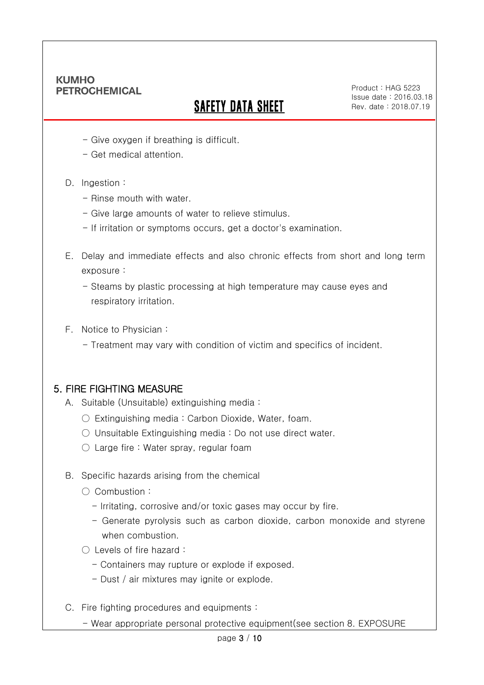Ξ

# **SAFETY DATA SHEET**

Product : HAG 5223 Issue date : 2016.03.18 Rev. date : 2018.07.19

- Give oxygen if breathing is difficult.
- Get medical attention.
- D. Ingestion :
	- Rinse mouth with water.
	- Give large amounts of water to relieve stimulus.
	- If irritation or symptoms occurs, get a doctor's examination.
- E. Delay and immediate effects and also chronic effects from short and long term exposure :
	- Steams by plastic processing at high temperature may cause eyes and respiratory irritation.
- F. Notice to Physician :
	- Treatment may vary with condition of victim and specifics of incident.

### 5. FIRE FIGHTING MEASURE

- A. Suitable (Unsuitable) extinguishing media :
	- Extinguishing media : Carbon Dioxide, Water, foam.
	- Unsuitable Extinguishing media : Do not use direct water.
	- $\circlearrowright$  Large fire : Water spray, regular foam
- B. Specific hazards arising from the chemical
	- Combustion :
		- Irritating, corrosive and/or toxic gases may occur by fire.
		- Generate pyrolysis such as carbon dioxide, carbon monoxide and styrene when combustion.
	- Levels of fire hazard :
		- Containers may rupture or explode if exposed.
		- Dust / air mixtures may ignite or explode.
- C. Fire fighting procedures and equipments :
	- Wear appropriate personal protective equipment(see section 8. EXPOSURE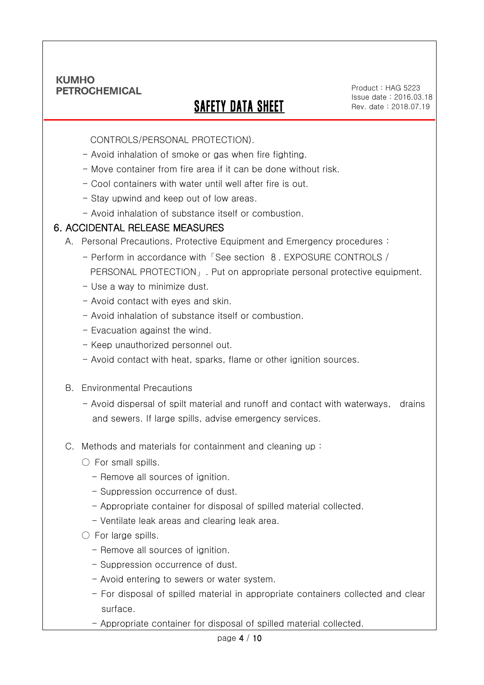Ξ

# SAFETY DATA SHEET

Product : HAG 5223 Issue date : 2016.03.18 Rev. date : 2018.07.19

CONTROLS/PERSONAL PROTECTION).

- Avoid inhalation of smoke or gas when fire fighting.
- Move container from fire area if it can be done without risk.
- Cool containers with water until well after fire is out.
- Stay upwind and keep out of low areas.
- Avoid inhalation of substance itself or combustion.

#### 6. ACCIDENTAL RELEASE MEASURES

- A. Personal Precautions, Protective Equipment and Emergency procedures :
	- Perform in accordance with「See section 8. EXPOSURE CONTROLS / PERSONAL PROTECTION」. Put on appropriate personal protective equipment.
	- Use a way to minimize dust.
	- Avoid contact with eyes and skin.
	- Avoid inhalation of substance itself or combustion.
	- Evacuation against the wind.
	- Keep unauthorized personnel out.
	- Avoid contact with heat, sparks, flame or other ignition sources.
- B. Environmental Precautions
	- Avoid dispersal of spilt material and runoff and contact with waterways, drains and sewers. If large spills, advise emergency services.
- C. Methods and materials for containment and cleaning up :
	- $\bigcirc$  For small spills.
		- Remove all sources of ignition.
		- Suppression occurrence of dust.
		- Appropriate container for disposal of spilled material collected.
		- Ventilate leak areas and clearing leak area.
	- $\bigcirc$  For large spills.
		- Remove all sources of ignition.
		- Suppression occurrence of dust.
		- Avoid entering to sewers or water system.
		- For disposal of spilled material in appropriate containers collected and clear surface.
		- Appropriate container for disposal of spilled material collected.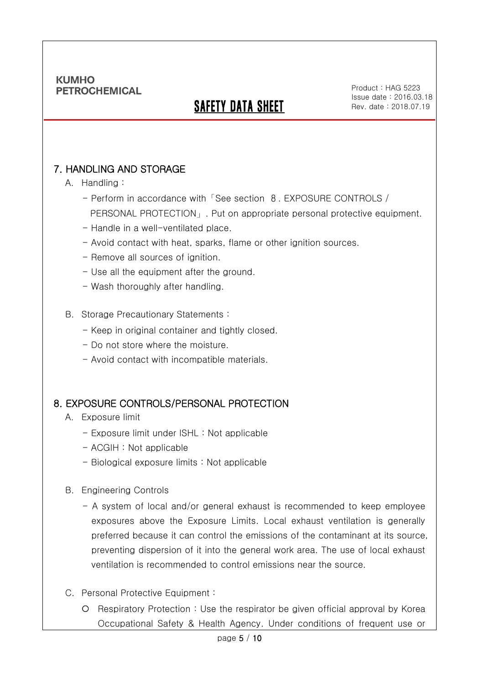# SAFETY DATA SHEET

### 7. HANDLING AND STORAGE

#### A. Handling :

Ξ

- Perform in accordance with「See section 8. EXPOSURE CONTROLS / PERSONAL PROTECTION」. Put on appropriate personal protective equipment.
- Handle in a well-ventilated place.
- Avoid contact with heat, sparks, flame or other ignition sources.
- Remove all sources of ignition.
- Use all the equipment after the ground.
- Wash thoroughly after handling.
- B. Storage Precautionary Statements :
	- Keep in original container and tightly closed.
	- Do not store where the moisture.
	- Avoid contact with incompatible materials.

### 8. EXPOSURE CONTROLS/PERSONAL PROTECTION

- A. Exposure limit
	- Exposure limit under ISHL : Not applicable
	- ACGIH : Not applicable
	- Biological exposure limits : Not applicable
- B. Engineering Controls
	- A system of local and/or general exhaust is recommended to keep employee exposures above the Exposure Limits. Local exhaust ventilation is generally preferred because it can control the emissions of the contaminant at its source, preventing dispersion of it into the general work area. The use of local exhaust ventilation is recommended to control emissions near the source.
- C. Personal Protective Equipment :
	- O Respiratory Protection : Use the respirator be given official approval by Korea Occupational Safety & Health Agency. Under conditions of frequent use or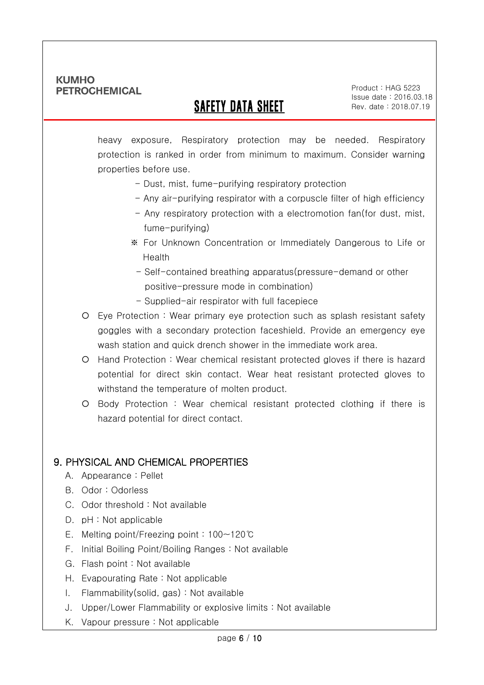Ξ

# SAFETY DATA SHEET

Product : HAG 5223 Issue date : 2016.03.18 Rev. date : 2018.07.19

heavy exposure, Respiratory protection may be needed. Respiratory protection is ranked in order from minimum to maximum. Consider warning properties before use.

- Dust, mist, fume-purifying respiratory protection
- Any air-purifying respirator with a corpuscle filter of high efficiency
- Any respiratory protection with a electromotion fan(for dust, mist, fume-purifying)
- ※ For Unknown Concentration or Immediately Dangerous to Life or Health
	- Self-contained breathing apparatus(pressure-demand or other positive-pressure mode in combination)
- Supplied-air respirator with full facepiece
- Eye Protection : Wear primary eye protection such as splash resistant safety goggles with a secondary protection faceshield. Provide an emergency eye wash station and quick drench shower in the immediate work area.
- Hand Protection : Wear chemical resistant protected gloves if there is hazard potential for direct skin contact. Wear heat resistant protected gloves to withstand the temperature of molten product.
- Body Protection : Wear chemical resistant protected clothing if there is hazard potential for direct contact.

### 9. PHYSICAL AND CHEMICAL PROPERTIES

- A. Appearance : Pellet
- B. Odor : Odorless
- C. Odor threshold : Not available
- D. pH : Not applicable
- E. Melting point/Freezing point : 100~120℃
- F. Initial Boiling Point/Boiling Ranges : Not available
- G. Flash point : Not available
- H. Evapourating Rate : Not applicable
- I. Flammability(solid, gas) : Not available
- J. Upper/Lower Flammability or explosive limits : Not available
- K. Vapour pressure : Not applicable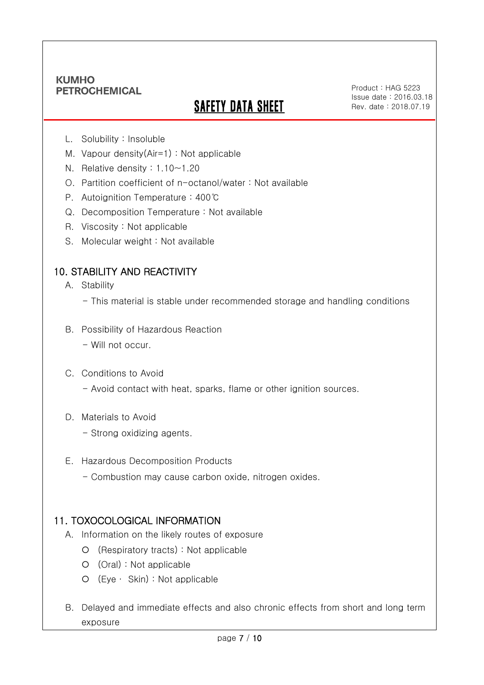Ξ

# **SAFETY DATA SHEET**

Product : HAG 5223 Issue date : 2016.03.18 Rev. date : 2018.07.19

- L. Solubility : Insoluble
- M. Vapour density(Air=1) : Not applicable
- N. Relative density : 1.10~1.20
- O. Partition coefficient of n-octanol/water : Not available
- P. Autoignition Temperature : 400℃
- Q. Decomposition Temperature : Not available
- R. Viscosity : Not applicable
- S. Molecular weight : Not available

### 10. STABILITY AND REACTIVITY

- A. Stability
	- This material is stable under recommended storage and handling conditions
- B. Possibility of Hazardous Reaction
	- Will not occur.
- C. Conditions to Avoid
	- Avoid contact with heat, sparks, flame or other ignition sources.
- D. Materials to Avoid
	- Strong oxidizing agents.
- E. Hazardous Decomposition Products
	- Combustion may cause carbon oxide, nitrogen oxides.

#### 11. TOXOCOLOGICAL INFORMATION

- A. Information on the likely routes of exposure
	- (Respiratory tracts) : Not applicable
	- (Oral) : Not applicable
	- (Eye ∙ Skin) : Not applicable
- B. Delayed and immediate effects and also chronic effects from short and long term exposure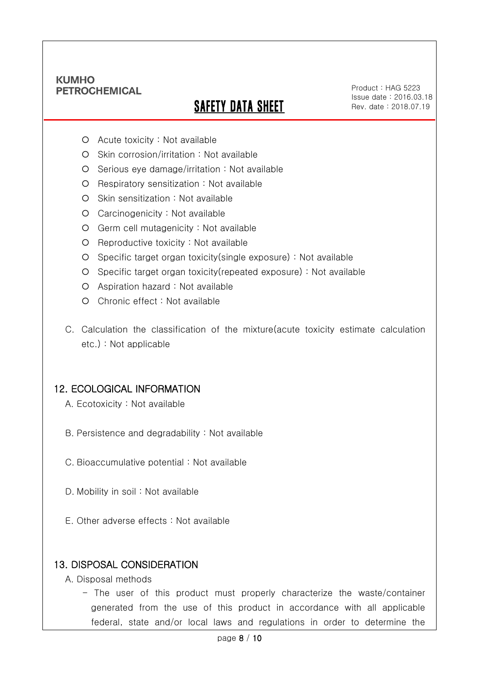Ξ

# SAFETY DATA SHEET

Product : HAG 5223 Issue date : 2016.03.18 Rev. date : 2018.07.19

- Acute toxicity : Not available
- O Skin corrosion/irritation : Not available
- $O$  Serious eye damage/irritation : Not available
- O Respiratory sensitization : Not available
- O Skin sensitization : Not available
- Carcinogenicity : Not available
- Germ cell mutagenicity : Not available
- O Reproductive toxicity : Not available
- Specific target organ toxicity(single exposure) : Not available
- Specific target organ toxicity(repeated exposure) : Not available
- Aspiration hazard : Not available
- O Chronic effect : Not available
- C. Calculation the classification of the mixture(acute toxicity estimate calculation etc.) : Not applicable

### 12. ECOLOGICAL INFORMATION

- A. Ecotoxicity : Not available
- B. Persistence and degradability : Not available
- C. Bioaccumulative potential : Not available
- D. Mobility in soil : Not available
- E. Other adverse effects : Not available

#### 13. DISPOSAL CONSIDERATION

- A. Disposal methods
	- The user of this product must properly characterize the waste/container generated from the use of this product in accordance with all applicable federal, state and/or local laws and regulations in order to determine the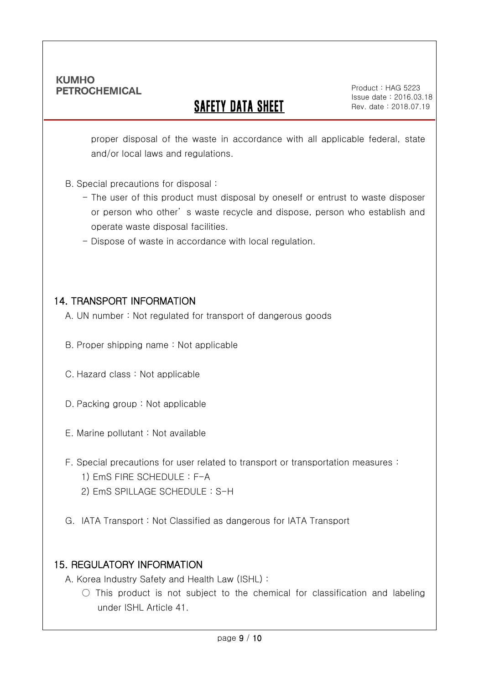Ξ

# **SAFETY DATA SHEET**

Product : HAG 5223 Issue date : 2016.03.18 Rev. date : 2018.07.19

proper disposal of the waste in accordance with all applicable federal, state and/or local laws and regulations.

#### B. Special precautions for disposal :

- The user of this product must disposal by oneself or entrust to waste disposer or person who other' s waste recycle and dispose, person who establish and operate waste disposal facilities.
- Dispose of waste in accordance with local regulation.

### 14. TRANSPORT INFORMATION

A. UN number : Not regulated for transport of dangerous goods

- B. Proper shipping name : Not applicable
- C. Hazard class : Not applicable
- D. Packing group : Not applicable
- E. Marine pollutant : Not available
- F. Special precautions for user related to transport or transportation measures :
	- 1) EmS FIRE SCHEDULE : F-A
	- 2) EmS SPILLAGE SCHEDULE : S-H
- G. IATA Transport : Not Classified as dangerous for IATA Transport

### 15. REGULATORY INFORMATION

A. Korea Industry Safety and Health Law (ISHL) :

 $\bigcirc$  This product is not subject to the chemical for classification and labeling under ISHL Article 41.